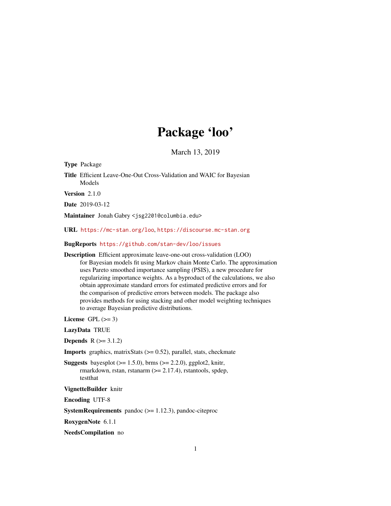# Package 'loo'

March 13, 2019

<span id="page-0-0"></span>Type Package

Title Efficient Leave-One-Out Cross-Validation and WAIC for Bayesian Models

Version 2.1.0

Date 2019-03-12

Maintainer Jonah Gabry <jsg2201@columbia.edu>

URL <https://mc-stan.org/loo>, <https://discourse.mc-stan.org>

# BugReports <https://github.com/stan-dev/loo/issues>

Description Efficient approximate leave-one-out cross-validation (LOO) for Bayesian models fit using Markov chain Monte Carlo. The approximation uses Pareto smoothed importance sampling (PSIS), a new procedure for regularizing importance weights. As a byproduct of the calculations, we also obtain approximate standard errors for estimated predictive errors and for the comparison of predictive errors between models. The package also provides methods for using stacking and other model weighting techniques to average Bayesian predictive distributions.

License GPL  $(>= 3)$ 

LazyData TRUE

**Depends**  $R$  ( $>= 3.1.2$ )

**Imports** graphics, matrix Stats  $(>= 0.52)$ , parallel, stats, checkmate

**Suggests** bayesplot  $(>= 1.5.0)$ , brms  $(>= 2.2.0)$ , ggplot2, knitr, rmarkdown, rstan, rstanarm (> = 2.17.4), rstantools, spdep, testthat

#### VignetteBuilder knitr

Encoding UTF-8

**SystemRequirements** pandoc  $(>= 1.12.3)$ , pandoc-citeproc

RoxygenNote 6.1.1

NeedsCompilation no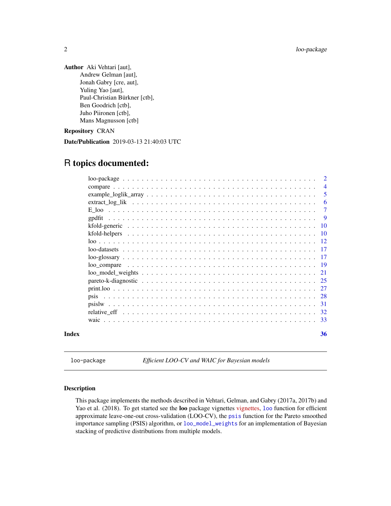<span id="page-1-0"></span>2 loo-package

Author Aki Vehtari [aut], Andrew Gelman [aut], Jonah Gabry [cre, aut], Yuling Yao [aut], Paul-Christian Bürkner [ctb], Ben Goodrich [ctb], Juho Piironen [ctb], Mans Magnusson [ctb]

Repository CRAN

Date/Publication 2019-03-13 21:40:03 UTC

# R topics documented:

|       | $\overline{2}$ |
|-------|----------------|
|       | $\overline{4}$ |
|       | -5             |
|       | 6              |
|       | 7              |
|       | - 9            |
|       |                |
|       |                |
|       |                |
|       |                |
|       |                |
|       |                |
|       |                |
|       |                |
|       |                |
|       |                |
|       |                |
|       |                |
|       |                |
| Index | 36             |
|       |                |

<span id="page-1-1"></span>loo-package *Efficient LOO-CV and WAIC for Bayesian models*

# Description

This package implements the methods described in Vehtari, Gelman, and Gabry (2017a, 2017b) and Yao et al. (2018). To get started see the **[loo](#page-11-1)** package vignettes [vignettes,](https://mc-stan.org/loo/articles/index.html) loo function for efficient approximate leave-one-out cross-validation (LOO-CV), the [psis](#page-27-1) function for the Pareto smoothed importance sampling (PSIS) algorithm, or [loo\\_model\\_weights](#page-20-1) for an implementation of Bayesian stacking of predictive distributions from multiple models.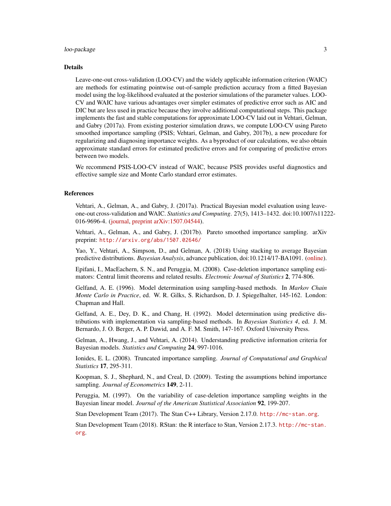### loo-package 3

#### Details

Leave-one-out cross-validation (LOO-CV) and the widely applicable information criterion (WAIC) are methods for estimating pointwise out-of-sample prediction accuracy from a fitted Bayesian model using the log-likelihood evaluated at the posterior simulations of the parameter values. LOO-CV and WAIC have various advantages over simpler estimates of predictive error such as AIC and DIC but are less used in practice because they involve additional computational steps. This package implements the fast and stable computations for approximate LOO-CV laid out in Vehtari, Gelman, and Gabry (2017a). From existing posterior simulation draws, we compute LOO-CV using Pareto smoothed importance sampling (PSIS; Vehtari, Gelman, and Gabry, 2017b), a new procedure for regularizing and diagnosing importance weights. As a byproduct of our calculations, we also obtain approximate standard errors for estimated predictive errors and for comparing of predictive errors between two models.

We recommend PSIS-LOO-CV instead of WAIC, because PSIS provides useful diagnostics and effective sample size and Monte Carlo standard error estimates.

#### References

Vehtari, A., Gelman, A., and Gabry, J. (2017a). Practical Bayesian model evaluation using leaveone-out cross-validation and WAIC. *Statistics and Computing*. 27(5), 1413–1432. doi:10.1007/s11222- 016-9696-4. [\(journal,](http://link.springer.com/article/10.1007%2Fs11222-016-9696-4) [preprint arXiv:1507.04544\)](http://arxiv.org/abs/1507.04544).

Vehtari, A., Gelman, A., and Gabry, J. (2017b). Pareto smoothed importance sampling. arXiv preprint: <http://arxiv.org/abs/1507.02646/>

Yao, Y., Vehtari, A., Simpson, D., and Gelman, A. (2018) Using stacking to average Bayesian predictive distributions. *Bayesian Analysis*, advance publication, doi:10.1214/17-BA1091. [\(online\)](https://projecteuclid.org/euclid.ba/1516093227).

Epifani, I., MacEachern, S. N., and Peruggia, M. (2008). Case-deletion importance sampling estimators: Central limit theorems and related results. *Electronic Journal of Statistics* 2, 774-806.

Gelfand, A. E. (1996). Model determination using sampling-based methods. In *Markov Chain Monte Carlo in Practice*, ed. W. R. Gilks, S. Richardson, D. J. Spiegelhalter, 145-162. London: Chapman and Hall.

Gelfand, A. E., Dey, D. K., and Chang, H. (1992). Model determination using predictive distributions with implementation via sampling-based methods. In *Bayesian Statistics 4*, ed. J. M. Bernardo, J. O. Berger, A. P. Dawid, and A. F. M. Smith, 147-167. Oxford University Press.

Gelman, A., Hwang, J., and Vehtari, A. (2014). Understanding predictive information criteria for Bayesian models. *Statistics and Computing* 24, 997-1016.

Ionides, E. L. (2008). Truncated importance sampling. *Journal of Computational and Graphical Statistics* 17, 295-311.

Koopman, S. J., Shephard, N., and Creal, D. (2009). Testing the assumptions behind importance sampling. *Journal of Econometrics* 149, 2-11.

Peruggia, M. (1997). On the variability of case-deletion importance sampling weights in the Bayesian linear model. *Journal of the American Statistical Association* 92, 199-207.

Stan Development Team (2017). The Stan C++ Library, Version 2.17.0. <http://mc-stan.org>.

Stan Development Team (2018). RStan: the R interface to Stan, Version 2.17.3. [http://mc-stan.](http://mc-stan.org) [org](http://mc-stan.org).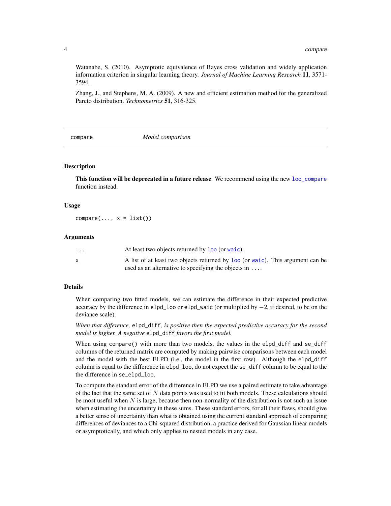Watanabe, S. (2010). Asymptotic equivalence of Bayes cross validation and widely application information criterion in singular learning theory. *Journal of Machine Learning Research* 11, 3571- 3594.

Zhang, J., and Stephens, M. A. (2009). A new and efficient estimation method for the generalized Pareto distribution. *Technometrics* 51, 316-325.

<span id="page-3-1"></span>compare *Model comparison*

#### Description

This function will be deprecated in a future release. We recommend using the new [loo\\_compare](#page-18-1) function instead.

#### Usage

 $compare(..., x = list())$ 

#### Arguments

| $\cdots$ | At least two objects returned by loo (or waic).                                |
|----------|--------------------------------------------------------------------------------|
| X        | A list of at least two objects returned by loo (or waic). This argument can be |
|          | used as an alternative to specifying the objects in $\dots$                    |

#### Details

When comparing two fitted models, we can estimate the difference in their expected predictive accuracy by the difference in elpd\_loo or elpd\_waic (or multiplied by −2, if desired, to be on the deviance scale).

*When that difference,* elpd\_diff*, is positive then the expected predictive accuracy for the second model is higher. A negative* elpd\_diff *favors the first model.*

When using compare() with more than two models, the values in the elpd\_diff and se\_diff columns of the returned matrix are computed by making pairwise comparisons between each model and the model with the best ELPD (i.e., the model in the first row). Although the elpd\_diff column is equal to the difference in elpd\_loo, do not expect the se\_diff column to be equal to the the difference in se\_elpd\_loo.

To compute the standard error of the difference in ELPD we use a paired estimate to take advantage of the fact that the same set of  $N$  data points was used to fit both models. These calculations should be most useful when  $N$  is large, because then non-normality of the distribution is not such an issue when estimating the uncertainty in these sums. These standard errors, for all their flaws, should give a better sense of uncertainty than what is obtained using the current standard approach of comparing differences of deviances to a Chi-squared distribution, a practice derived for Gaussian linear models or asymptotically, and which only applies to nested models in any case.

<span id="page-3-0"></span>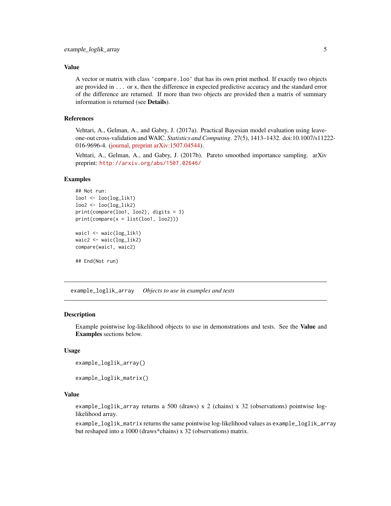#### <span id="page-4-0"></span>Value

A vector or matrix with class 'compare.loo' that has its own print method. If exactly two objects are provided in ... or x, then the difference in expected predictive accuracy and the standard error of the difference are returned. If more than two objects are provided then a matrix of summary information is returned (see Details).

#### References

Vehtari, A., Gelman, A., and Gabry, J. (2017a). Practical Bayesian model evaluation using leaveone-out cross-validation and WAIC. *Statistics and Computing*. 27(5), 1413–1432. doi:10.1007/s11222- 016-9696-4. [\(journal,](http://link.springer.com/article/10.1007%2Fs11222-016-9696-4) [preprint arXiv:1507.04544\)](http://arxiv.org/abs/1507.04544).

Vehtari, A., Gelman, A., and Gabry, J. (2017b). Pareto smoothed importance sampling. arXiv preprint: <http://arxiv.org/abs/1507.02646/>

# Examples

```
## Not run:
loo1 <- loo(log_lik1)
loo2 \leftarrow loo(log\_lik2)print(compare(loo1, loo2), digits = 3)
print(compare(x = list(loo1, loo2)))waic1 <- waic(log_lik1)
waic2 <- waic(log_lik2)
compare(waic1, waic2)
```
## End(Not run)

example\_loglik\_array *Objects to use in examples and tests*

#### **Description**

Example pointwise log-likelihood objects to use in demonstrations and tests. See the Value and Examples sections below.

#### Usage

```
example_loglik_array()
```
example\_loglik\_matrix()

#### Value

example\_loglik\_array returns a 500 (draws) x 2 (chains) x 32 (observations) pointwise loglikelihood array.

example\_loglik\_matrix returns the same pointwise log-likelihood values as example\_loglik\_array but reshaped into a 1000 (draws\*chains) x 32 (observations) matrix.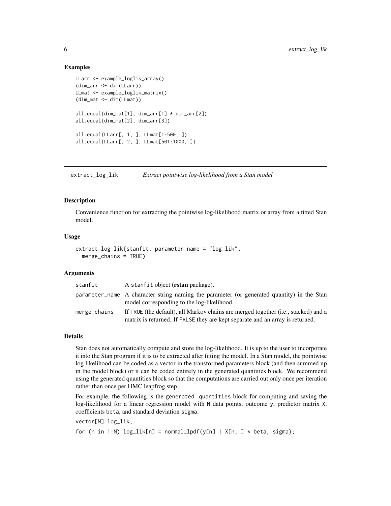#### Examples

```
LLarr <- example_loglik_array()
(dim_arr <- dim(LLarr))
LLmat <- example_loglik_matrix()
(dim_mat <- dim(LLmat))
all.equal(dim_mat[1], dim_arr[1] * dim_arr[2])
all.equal(dim_mat[2], dim_arr[3])
all.equal(LLarr[, 1, ], LLmat[1:500, ])
all.equal(LLarr[, 2, ], LLmat[501:1000, ])
```
extract\_log\_lik *Extract pointwise log-likelihood from a Stan model*

#### Description

Convenience function for extracting the pointwise log-likelihood matrix or array from a fitted Stan model.

#### Usage

```
extract_log_lik(stanfit, parameter_name = "log_lik",
 merge_chains = TRUE)
```
#### Arguments

| stanfit      | A stanfit object ( <b>rstan</b> package).                                                                                                                           |
|--------------|---------------------------------------------------------------------------------------------------------------------------------------------------------------------|
|              | parameter_name A character string naming the parameter (or generated quantity) in the Stan<br>model corresponding to the log-likelihood.                            |
| merge_chains | If TRUE (the default), all Markov chains are merged together (i.e., stacked) and a<br>matrix is returned. If FALSE they are kept separate and an array is returned. |

#### Details

Stan does not automatically compute and store the log-likelihood. It is up to the user to incorporate it into the Stan program if it is to be extracted after fitting the model. In a Stan model, the pointwise log likelihood can be coded as a vector in the transformed parameters block (and then summed up in the model block) or it can be coded entirely in the generated quantities block. We recommend using the generated quantities block so that the computations are carried out only once per iteration rather than once per HMC leapfrog step.

For example, the following is the generated quantities block for computing and saving the log-likelihood for a linear regression model with N data points, outcome y, predictor matrix X, coefficients beta, and standard deviation sigma:

vector[N] log\_lik; for (n in 1:N)  $log\_lik[n] = normal\_lpdf(y[n] | X[n, ] * beta, sigma);$ 

<span id="page-5-0"></span>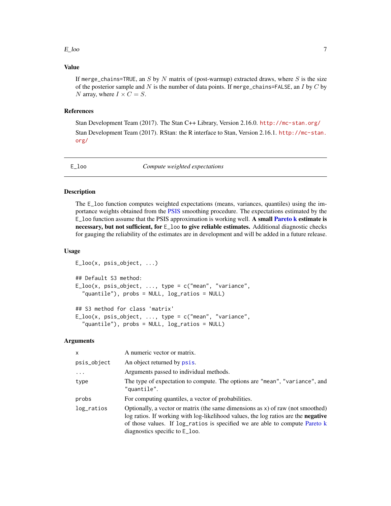#### <span id="page-6-0"></span> $E_{\text{1}}$ loo  $\overline{7}$

# Value

If merge\_chains=TRUE, an S by N matrix of (post-warmup) extracted draws, where S is the size of the posterior sample and N is the number of data points. If merge\_chains=FALSE, an I by C by N array, where  $I \times C = S$ .

#### References

Stan Development Team (2017). The Stan C++ Library, Version 2.16.0. <http://mc-stan.org/> Stan Development Team (2017). RStan: the R interface to Stan, Version 2.16.1. [http://mc-stan.](http://mc-stan.org/) [org/](http://mc-stan.org/)

<span id="page-6-1"></span>E\_loo *Compute weighted expectations*

#### Description

The E\_loo function computes weighted expectations (means, variances, quantiles) using the importance weights obtained from the [PSIS](#page-27-1) smoothing procedure. The expectations estimated by the E<sub>r</sub>loo function assume that the PSIS approximation is working well. A small **[Pareto k](#page-24-1) estimate is** necessary, but not sufficient, for  $E_{100}$  to give reliable estimates. Additional diagnostic checks for gauging the reliability of the estimates are in development and will be added in a future release.

#### Usage

```
E_loo(x, psis_object, ...)
## Default S3 method:
E\_loo(x, \text{psis\_object}, \ldots, \text{type} = c("mean", "variance","quantile"), probs = NULL, log_ratios = NULL)
## S3 method for class 'matrix'
E\_loo(x, \text{psi\_object}, \ldots, \text{type} = c("mean", "variance","quantile"), probs = NULL, log_ratios = NULL)
```
#### Arguments

| $\mathsf{x}$ | A numeric vector or matrix.                                                                                                                                                                                                                                                               |
|--------------|-------------------------------------------------------------------------------------------------------------------------------------------------------------------------------------------------------------------------------------------------------------------------------------------|
| psis_object  | An object returned by psis.                                                                                                                                                                                                                                                               |
| $\cdots$     | Arguments passed to individual methods.                                                                                                                                                                                                                                                   |
| type         | The type of expectation to compute. The options are "mean", "variance", and<br>"quantile".                                                                                                                                                                                                |
| probs        | For computing quantiles, a vector of probabilities.                                                                                                                                                                                                                                       |
| log_ratios   | Optionally, a vector or matrix (the same dimensions as $x$ ) of raw (not smoothed)<br>log ratios. If working with log-likelihood values, the log ratios are the negative<br>of those values. If log_ratios is specified we are able to compute Pareto k<br>diagnostics specific to E_loo. |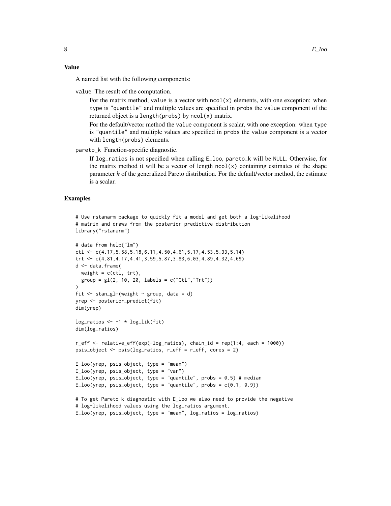A named list with the following components:

value The result of the computation.

For the matrix method, value is a vector with  $ncol(x)$  elements, with one exception: when type is "quantile" and multiple values are specified in probs the value component of the returned object is a length( $probs$ ) by  $ncol(x)$  matrix.

For the default/vector method the value component is scalar, with one exception: when type is "quantile" and multiple values are specified in probs the value component is a vector with length(probs) elements.

pareto\_k Function-specific diagnostic.

If log\_ratios is not specified when calling E\_loo, pareto\_k will be NULL. Otherwise, for the matrix method it will be a vector of length  $ncol(x)$  containing estimates of the shape parameter  $k$  of the generalized Pareto distribution. For the default/vector method, the estimate is a scalar.

#### Examples

```
# Use rstanarm package to quickly fit a model and get both a log-likelihood
# matrix and draws from the posterior predictive distribution
library("rstanarm")
# data from help("lm")
ctl <- c(4.17,5.58,5.18,6.11,4.50,4.61,5.17,4.53,5.33,5.14)
trt <- c(4.81,4.17,4.41,3.59,5.87,3.83,6.03,4.89,4.32,4.69)
d <- data.frame(
  weight = c(ct1, trt),
  group = gl(2, 10, 20, labels = c("Ctl", "Trt")))
fit \le stan_glm(weight \sim group, data = d)
yrep <- posterior_predict(fit)
dim(yrep)
log\_rations \leftarrow -1 * log\_lik(fit)dim(log_ratios)
r_eff \le relative_eff(exp(-log_ratios), chain_id = rep(1:4, each = 1000))
psis_object <- psis(log_ratios, r_eff = r_eff, cores = 2)
E_loo(yrep, psis_object, type = "mean")
E_{100}(yrep, \psi) psis_object, type = "var")
E_loo(yrep, psis_object, type = "quantile", probs = 0.5) # median
E\_loo(yrep, psis\_object, type = "quantile", probs = c(0.1, 0.9))# To get Pareto k diagnostic with E_loo we also need to provide the negative
# log-likelihood values using the log_ratios argument.
E\_loo(yrep, \psi) psis_object, type = "mean", log\_rations = log\_rations)
```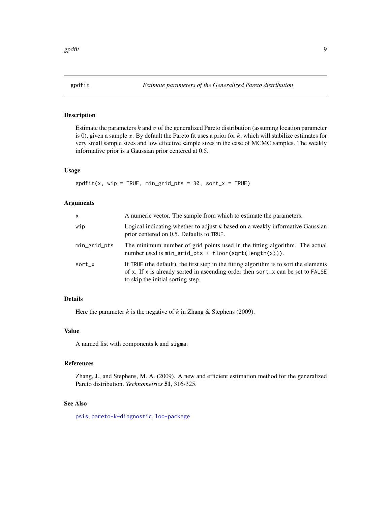<span id="page-8-0"></span>

# Description

Estimate the parameters k and  $\sigma$  of the generalized Pareto distribution (assuming location parameter is 0), given a sample  $x$ . By default the Pareto fit uses a prior for  $k$ , which will stabilize estimates for very small sample sizes and low effective sample sizes in the case of MCMC samples. The weakly informative prior is a Gaussian prior centered at 0.5.

#### Usage

 $gpdfit(x, wp = TRUE, min_grid_pts = 30, sort_x = TRUE)$ 

#### Arguments

| X            | A numeric vector. The sample from which to estimate the parameters.                                                                                                                                            |
|--------------|----------------------------------------------------------------------------------------------------------------------------------------------------------------------------------------------------------------|
| wip          | Logical indicating whether to adjust $k$ based on a weakly informative Gaussian<br>prior centered on 0.5. Defaults to TRUE.                                                                                    |
| min_grid_pts | The minimum number of grid points used in the fitting algorithm. The actual<br>number used is $min\_grid\_pts + floor(sqrt(length(x))).$                                                                       |
| sort_x       | If TRUE (the default), the first step in the fitting algorithm is to sort the elements<br>of x. If x is already sorted in ascending order then sort_x can be set to FALSE<br>to skip the initial sorting step. |

# Details

Here the parameter  $k$  is the negative of  $k$  in Zhang  $\&$  Stephens (2009).

#### Value

A named list with components k and sigma.

#### References

Zhang, J., and Stephens, M. A. (2009). A new and efficient estimation method for the generalized Pareto distribution. *Technometrics* 51, 316-325.

#### See Also

[psis](#page-27-1), [pareto-k-diagnostic](#page-24-1), [loo-package](#page-1-1)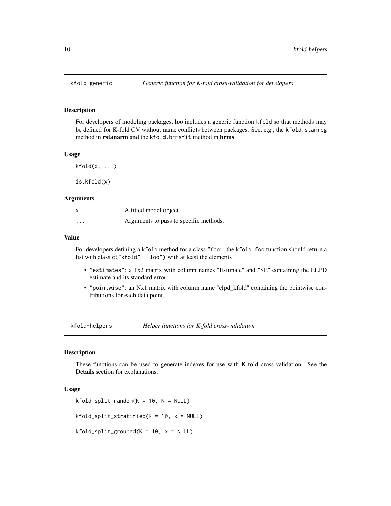<span id="page-9-0"></span>

#### Description

For developers of modeling packages, loo includes a generic function kfold so that methods may be defined for K-fold CV without name conflicts between packages. See, e.g., the kfold.stanreg method in rstanarm and the kfold.brmsfit method in brms.

#### Usage

 $kfold(x, \ldots)$ 

is.kfold(x)

#### **Arguments**

| x       | A fitted model object.                 |
|---------|----------------------------------------|
| $\cdot$ | Arguments to pass to specific methods. |

#### Value

For developers defining a kfold method for a class "foo", the kfold.foo function should return a list with class c("kfold", "loo") with at least the elements

- "estimates": a 1x2 matrix with column names "Estimate" and "SE" containing the ELPD estimate and its standard error.
- "pointwise": an Nx1 matrix with column name "elpd\_kfold" containing the pointwise contributions for each data point.

kfold-helpers *Helper functions for K-fold cross-validation*

#### Description

These functions can be used to generate indexes for use with K-fold cross-validation. See the Details section for explanations.

### Usage

```
kfold_split\_random(K = 10, N = NULL)
```
 $kfold\_split\_stratified(K = 10, x = NULL)$ 

 $kfold\_split\_grouped(K = 10, x = NULL)$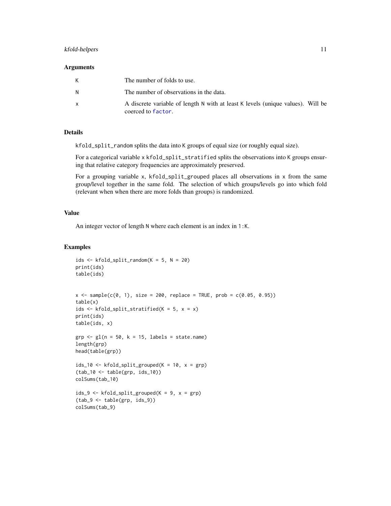#### <span id="page-10-0"></span>kfold-helpers and the state of the state of the state of the state of the state of the state of the state of the state of the state of the state of the state of the state of the state of the state of the state of the state

#### **Arguments**

| К            | The number of folds to use.                                                                           |
|--------------|-------------------------------------------------------------------------------------------------------|
| N            | The number of observations in the data.                                                               |
| $\mathsf{x}$ | A discrete variable of length N with at least K levels (unique values). Will be<br>coerced to factor. |

# Details

kfold\_split\_random splits the data into K groups of equal size (or roughly equal size).

For a categorical variable x kfold\_split\_stratified splits the observations into K groups ensuring that relative category frequencies are approximately preserved.

For a grouping variable x, kfold\_split\_grouped places all observations in x from the same group/level together in the same fold. The selection of which groups/levels go into which fold (relevant when when there are more folds than groups) is randomized.

# Value

An integer vector of length N where each element is an index in 1:K.

### Examples

```
ids <- kfold_split_random(K = 5, N = 20)
print(ids)
table(ids)
x \leq - sample(c(0, 1), size = 200, replace = TRUE, prob = c(0.05, 0.95))
table(x)
ids <- kfold_split_stratified(K = 5, x = x)
print(ids)
table(ids, x)
grp \leq-gl(n = 50, k = 15, labels = state.name)length(grp)
head(table(grp))
ids_10 <- kfold_split_grouped(K = 10, x = grp)
(tab_10 <- table(grp, ids_10))
colSums(tab_10)
ids_9 <- kfold_split_grouped(K = 9, x = grp)
(tab_9 <- table(grp, ids_9))
colSums(tab_9)
```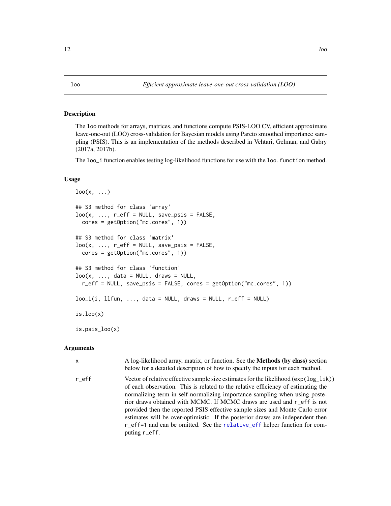#### <span id="page-11-2"></span><span id="page-11-1"></span><span id="page-11-0"></span>Description

The loo methods for arrays, matrices, and functions compute PSIS-LOO CV, efficient approximate leave-one-out (LOO) cross-validation for Bayesian models using Pareto smoothed importance sampling (PSIS). This is an implementation of the methods described in Vehtari, Gelman, and Gabry (2017a, 2017b).

The loo\_i function enables testing log-likelihood functions for use with the loo. function method.

# Usage

```
\text{loo}(x, \ldots)## S3 method for class 'array'
loo(x, ..., r_{eff} = NULL, save_{psis} = FALSE,cores = getOption("mc.cores", 1))
## S3 method for class 'matrix'
loo(x, ..., r_{eff} = NULL, save_{psis} = FALSE,cores = getOption("mc.cores", 1))
## S3 method for class 'function'
loo(x, ..., data = NULL, draws = NULL,r_eff = NULL, save_psis = FALSE, cores = getOption("mc.cores", 1))
loo_i(i, 11fun, ..., data = NULL, draws = NULL, r_eff = NULL)
is.loo(x)is.psis_loo(x)
```
#### Arguments

| X     | A log-likelihood array, matrix, or function. See the <b>Methods</b> (by class) section<br>below for a detailed description of how to specify the inputs for each method.                                                                                                                                                                                                                                                                                                                                                                                                                               |
|-------|--------------------------------------------------------------------------------------------------------------------------------------------------------------------------------------------------------------------------------------------------------------------------------------------------------------------------------------------------------------------------------------------------------------------------------------------------------------------------------------------------------------------------------------------------------------------------------------------------------|
| r eff | Vector of relative effective sample size estimates for the likelihood ( $exp(log\_lik)$ )<br>of each observation. This is related to the relative efficiency of estimating the<br>normalizing term in self-normalizing importance sampling when using poste-<br>rior draws obtained with MCMC. If MCMC draws are used and r_eff is not<br>provided then the reported PSIS effective sample sizes and Monte Carlo error<br>estimates will be over-optimistic. If the posterior draws are independent then<br>r_eff=1 and can be omitted. See the relative_eff helper function for com-<br>puting r_eff. |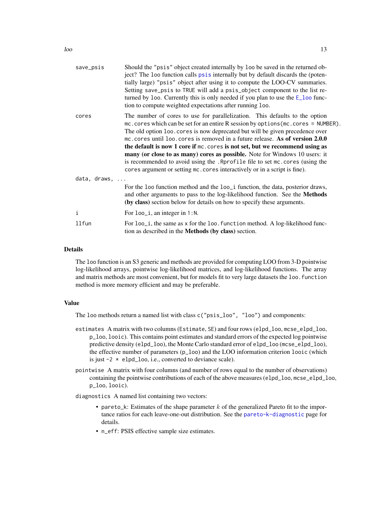<span id="page-12-0"></span>

| save_psis            | Should the "psis" object created internally by loo be saved in the returned ob-<br>ject? The loo function calls psis internally but by default discards the (poten-<br>tially large) "psis" object after using it to compute the LOO-CV summaries.<br>Setting save_psis to TRUE will add a psis_object component to the list re-<br>turned by loo. Currently this is only needed if you plan to use the $E_{\text{1}}$ loo func-<br>tion to compute weighted expectations after running loo.                                                                                                                                                                                       |
|----------------------|------------------------------------------------------------------------------------------------------------------------------------------------------------------------------------------------------------------------------------------------------------------------------------------------------------------------------------------------------------------------------------------------------------------------------------------------------------------------------------------------------------------------------------------------------------------------------------------------------------------------------------------------------------------------------------|
| cores                | The number of cores to use for parallelization. This defaults to the option<br>$mc \cdot cores$ which can be set for an entire R session by options ( $mc \cdot cores$ = NUMBER).<br>The old option loo. cores is now deprecated but will be given precedence over<br>mc. cores until loo. cores is removed in a future release. As of version 2.0.0<br>the default is now 1 core if mc. cores is not set, but we recommend using as<br>many (or close to as many) cores as possible. Note for Windows 10 users: it<br>is recommended to avoid using the . Rprofile file to set mc. cores (using the<br>cores argument or setting mc. cores interactively or in a script is fine). |
| data, draws, $\dots$ |                                                                                                                                                                                                                                                                                                                                                                                                                                                                                                                                                                                                                                                                                    |
|                      | For the loo function method and the loo_i function, the data, posterior draws,<br>and other arguments to pass to the log-likelihood function. See the Methods<br>(by class) section below for details on how to specify these arguments.                                                                                                                                                                                                                                                                                                                                                                                                                                           |
| i                    | For loo_i, an integer in 1:N.                                                                                                                                                                                                                                                                                                                                                                                                                                                                                                                                                                                                                                                      |
| 11fun                | For loo_i, the same as x for the loo. function method. A log-likelihood func-<br>tion as described in the <b>Methods</b> (by class) section.                                                                                                                                                                                                                                                                                                                                                                                                                                                                                                                                       |
|                      |                                                                                                                                                                                                                                                                                                                                                                                                                                                                                                                                                                                                                                                                                    |

# Details

The loo function is an S3 generic and methods are provided for computing LOO from 3-D pointwise log-likelihood arrays, pointwise log-likelihood matrices, and log-likelihood functions. The array and matrix methods are most convenient, but for models fit to very large datasets the loo. function method is more memory efficient and may be preferable.

#### Value

The loo methods return a named list with class c("psis\_loo", "loo") and components:

- estimates A matrix with two columns (Estimate, SE) and four rows (elpd\_loo, mcse\_elpd\_loo, p\_loo, looic). This contains point estimates and standard errors of the expected log pointwise predictive density (elpd\_loo), the Monte Carlo standard error of elpd\_loo (mcse\_elpd\_loo), the effective number of parameters  $(p_1, q_0)$  and the LOO information criterion looic (which is just  $-2 \times$  elpd\_loo, i.e., converted to deviance scale).
- pointwise A matrix with four columns (and number of rows equal to the number of observations) containing the pointwise contributions of each of the above measures (elpd\_loo, mcse\_elpd\_loo, p\_loo, looic).
- diagnostics A named list containing two vectors:
	- pareto\_k: Estimates of the shape parameter  $k$  of the generalized Pareto fit to the importance ratios for each leave-one-out distribution. See the [pareto-k-diagnostic](#page-24-1) page for details.
	- n\_eff: PSIS effective sample size estimates.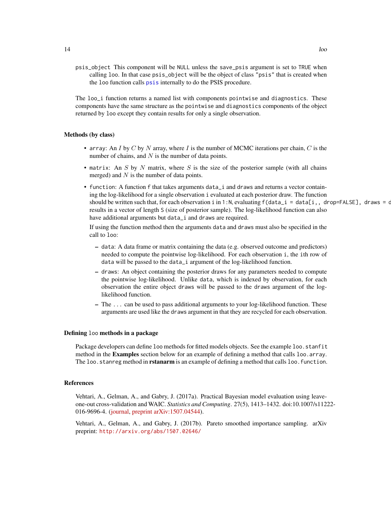psis\_object This component will be NULL unless the save\_psis argument is set to TRUE when calling loo. In that case psis\_object will be the object of class "psis" that is created when the loo function calls [psis](#page-27-1) internally to do the PSIS procedure.

The loo\_i function returns a named list with components pointwise and diagnostics. These components have the same structure as the pointwise and diagnostics components of the object returned by loo except they contain results for only a single observation.

#### Methods (by class)

- array: An I by C by N array, where I is the number of MCMC iterations per chain, C is the number of chains, and  $N$  is the number of data points.
- matrix: An  $S$  by  $N$  matrix, where  $S$  is the size of the posterior sample (with all chains merged) and  $N$  is the number of data points.
- function: A function f that takes arguments data\_i and draws and returns a vector containing the log-likelihood for a single observation i evaluated at each posterior draw. The function should be written such that, for each observation i in 1:N, evaluating  $f(data_i = data[i, dropeFALEE]$ , draws = draws results in a vector of length S (size of posterior sample). The log-likelihood function can also have additional arguments but data\_i and draws are required.

If using the function method then the arguments data and draws must also be specified in the call to loo:

- data: A data frame or matrix containing the data (e.g. observed outcome and predictors) needed to compute the pointwise log-likelihood. For each observation i, the ith row of data will be passed to the data\_i argument of the log-likelihood function.
- draws: An object containing the posterior draws for any parameters needed to compute the pointwise log-likelihood. Unlike data, which is indexed by observation, for each observation the entire object draws will be passed to the draws argument of the loglikelihood function.
- The ... can be used to pass additional arguments to your log-likelihood function. These arguments are used like the draws argument in that they are recycled for each observation.

#### Defining loo methods in a package

Package developers can define loo methods for fitted models objects. See the example loo.stanfit method in the **Examples** section below for an example of defining a method that calls loo.array. The loo.stanreg method in **rstanarm** is an example of defining a method that calls loo.function.

#### References

Vehtari, A., Gelman, A., and Gabry, J. (2017a). Practical Bayesian model evaluation using leaveone-out cross-validation and WAIC. *Statistics and Computing*. 27(5), 1413–1432. doi:10.1007/s11222- 016-9696-4. [\(journal,](http://link.springer.com/article/10.1007%2Fs11222-016-9696-4) [preprint arXiv:1507.04544\)](http://arxiv.org/abs/1507.04544).

Vehtari, A., Gelman, A., and Gabry, J. (2017b). Pareto smoothed importance sampling. arXiv preprint: <http://arxiv.org/abs/1507.02646/>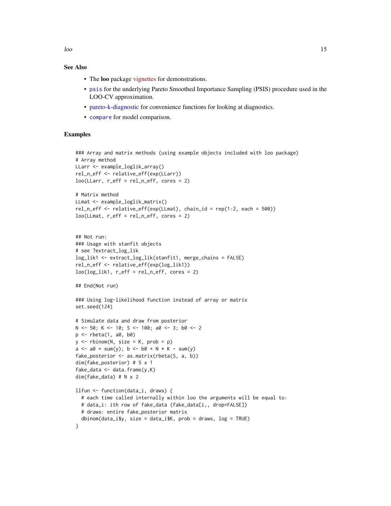# See Also

- The **loo** package [vignettes](https://mc-stan.org/loo/articles/index.html) for demonstrations.
- [psis](#page-27-1) for the underlying Pareto Smoothed Importance Sampling (PSIS) procedure used in the LOO-CV approximation.
- [pareto-k-diagnostic](#page-24-1) for convenience functions for looking at diagnostics.
- [compare](#page-3-1) for model comparison.

## Examples

```
### Array and matrix methods (using example objects included with loo package)
# Array method
LLarr <- example_loglik_array()
rel_n_eff <- relative_eff(exp(LLarr))
loo(LLarr, r_eff = rel_n_eff, cores = 2)
# Matrix method
LLmat <- example_loglik_matrix()
rel_n_eff <- relative_eff(exp(LLmat), chain_id = rep(1:2, each = 500))
loo(LLmat, r_eff = rel_n_eff, cores = 2)
## Not run:
### Usage with stanfit objects
# see ?extract_log_lik
log_lik1 <- extract_log_lik(stanfit1, merge_chains = FALSE)
rel_n_eff <- relative_eff(exp(log_lik1))
loo(log\_lik1, r\_eff = rel_n\_eff, cores = 2)## End(Not run)
### Using log-likelihood function instead of array or matrix
set.seed(124)
# Simulate data and draw from posterior
N <- 50; K <- 10; S <- 100; a0 <- 3; b0 <- 2
p \leftarrow rbeta(1, a0, b0)
y \le - rbinom(N, size = K, prob = p)
a \le -a0 + \text{sum}(y); b \le -b0 + N * K - \text{sum}(y)fake_posterior <- as.matrix(rbeta(S, a, b))
dim(fake_posterior) # S x 1
fake_data <- data.frame(y,K)dim(fake_data) # N x 2
llfun <- function(data_i, draws) {
  # each time called internally within loo the arguments will be equal to:
  # data_i: ith row of fake_data (fake_data[i,, drop=FALSE])
  # draws: entire fake_posterior matrix
  dbinom(data_i$y, size = data_i$K, prob = draws, log = TRUE)
}
```
<span id="page-14-0"></span> $l$ oo  $l$  15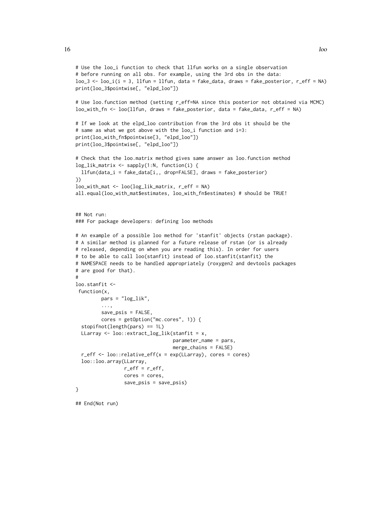```
# Use the loo_i function to check that llfun works on a single observation
# before running on all obs. For example, using the 3rd obs in the data:
loo_3 \leftarrow loo_i(i = 3, 11fun = 11fun, data = fake\_data, draws = fake\_posterior, r_eff = NA)
print(loo_3$pointwise[, "elpd_loo"])
# Use loo.function method (setting r_eff=NA since this posterior not obtained via MCMC)
loo_with_fn <- loo(llfun, draws = fake_posterior, data = fake_data, r_eff = NA)
# If we look at the elpd_loo contribution from the 3rd obs it should be the
# same as what we got above with the loo_i function and i=3:
print(loo_with_fn$pointwise[3, "elpd_loo"])
print(loo_3$pointwise[, "elpd_loo"])
# Check that the loo.matrix method gives same answer as loo.function method
log_lik_matrix <- sapply(1:N, function(i) {
  llfun(data_i = fake_data[i,, drop=FALSE], draws = fake_posterior)
})
loo_with_mat <- loo(log_lik_matrix, r_eff = NA)
all.equal(loo_with_mat$estimates, loo_with_fn$estimates) # should be TRUE!
## Not run:
### For package developers: defining loo methods
# An example of a possible loo method for 'stanfit' objects (rstan package).
# A similar method is planned for a future release of rstan (or is already
# released, depending on when you are reading this). In order for users
# to be able to call loo(stanfit) instead of loo.stanfit(stanfit) the
# NAMESPACE needs to be handled appropriately (roxygen2 and devtools packages
# are good for that).
#
loo.stanfit <-
 function(x,
         pars = "log_lik",
         ...,
         save_psis = FALSE,
         cores = getOption("mc.cores", 1)) {
  stopifnot(length(pars) == 1L)
  LLarray <- loo::extract_log_lik(stanfit = x,
                                  parameter_name = pars,
                                  merge_chains = FALSE)
  r_eff <- loo::relative_eff(x = exp(LLarray), cores = cores)
  loo::loo.array(LLarray,
                 r_{eff} = r_{eff},
                 cores = cores,
                 save_psis = save_psis)
}
```
## End(Not run)

16 look and the state of the state of the state of the state of the state of the state of the state of the state of the state of the state of the state of the state of the state of the state of the state of the state of th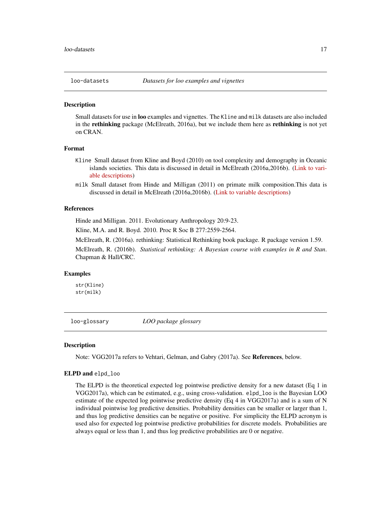<span id="page-16-0"></span>

# **Description**

Small datasets for use in loo examples and vignettes. The Kline and milk datasets are also included in the **rethinking** package (McElreath, 2016a), but we include them here as **rethinking** is not yet on CRAN.

#### Format

- Kline Small dataset from Kline and Boyd (2010) on tool complexity and demography in Oceanic islands societies. This data is discussed in detail in McElreath (2016a,2016b). [\(Link to vari](https://www.rdocumentation.org/packages/rethinking/versions/1.59/topics/Kline)[able descriptions\)](https://www.rdocumentation.org/packages/rethinking/versions/1.59/topics/Kline)
- milk Small dataset from Hinde and Milligan (2011) on primate milk composition.This data is discussed in detail in McElreath (2016a,2016b). [\(Link to variable descriptions\)](https://www.rdocumentation.org/packages/rethinking/versions/1.59/topics/milk)

#### References

Hinde and Milligan. 2011. Evolutionary Anthropology 20:9-23.

Kline, M.A. and R. Boyd. 2010. Proc R Soc B 277:2559-2564.

McElreath, R. (2016a). rethinking: Statistical Rethinking book package. R package version 1.59.

McElreath, R. (2016b). *Statistical rethinking: A Bayesian course with examples in R and Stan*. Chapman & Hall/CRC.

# Examples

str(Kline) str(milk)

loo-glossary *LOO package glossary*

#### Description

Note: VGG2017a refers to Vehtari, Gelman, and Gabry (2017a). See References, below.

#### ELPD and elpd\_loo

The ELPD is the theoretical expected log pointwise predictive density for a new dataset (Eq 1 in VGG2017a), which can be estimated, e.g., using cross-validation. elpd\_loo is the Bayesian LOO estimate of the expected log pointwise predictive density (Eq 4 in VGG2017a) and is a sum of N individual pointwise log predictive densities. Probability densities can be smaller or larger than 1, and thus log predictive densities can be negative or positive. For simplicity the ELPD acronym is used also for expected log pointwise predictive probabilities for discrete models. Probabilities are always equal or less than 1, and thus log predictive probabilities are 0 or negative.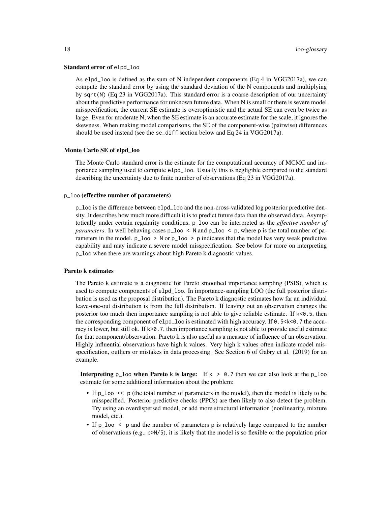#### Standard error of elpd\_loo

As elpd\_loo is defined as the sum of N independent components (Eq 4 in VGG2017a), we can compute the standard error by using the standard deviation of the N components and multiplying by sqrt(N) (Eq 23 in VGG2017a). This standard error is a coarse description of our uncertainty about the predictive performance for unknown future data. When N is small or there is severe model misspecification, the current SE estimate is overoptimistic and the actual SE can even be twice as large. Even for moderate N, when the SE estimate is an accurate estimate for the scale, it ignores the skewness. When making model comparisons, the SE of the component-wise (pairwise) differences should be used instead (see the se\_diff section below and Eq 24 in VGG2017a).

#### Monte Carlo SE of elpd\_loo

The Monte Carlo standard error is the estimate for the computational accuracy of MCMC and importance sampling used to compute elpd\_loo. Usually this is negligible compared to the standard describing the uncertainty due to finite number of observations (Eq 23 in VGG2017a).

#### p\_loo (effective number of parameters)

p\_loo is the difference between elpd\_loo and the non-cross-validated log posterior predictive density. It describes how much more difficult it is to predict future data than the observed data. Asymptotically under certain regularity conditions, p\_loo can be interpreted as the *effective number of parameters*. In well behaving cases  $p_{1}$  loo  $\lt N$  and  $p_{1}$  loo  $\lt p$ , where p is the total number of parameters in the model.  $p_{100} > N$  or  $p_{100} > p$  indicates that the model has very weak predictive capability and may indicate a severe model misspecification. See below for more on interpreting p\_loo when there are warnings about high Pareto k diagnostic values.

#### Pareto k estimates

The Pareto k estimate is a diagnostic for Pareto smoothed importance sampling (PSIS), which is used to compute components of elpd\_loo. In importance-sampling LOO (the full posterior distribution is used as the proposal distribution). The Pareto k diagnostic estimates how far an individual leave-one-out distribution is from the full distribution. If leaving out an observation changes the posterior too much then importance sampling is not able to give reliable estimate. If  $k < 0.5$ , then the corresponding component of elpd\_loo is estimated with high accuracy. If 0.5<k<0.7 the accuracy is lower, but still ok. If k>0.7, then importance sampling is not able to provide useful estimate for that component/observation. Pareto k is also useful as a measure of influence of an observation. Highly influential observations have high k values. Very high k values often indicate model misspecification, outliers or mistakes in data processing. See Section 6 of Gabry et al. (2019) for an example.

Interpreting p<sub>loo</sub> when Pareto k is large: If  $k > 0.7$  then we can also look at the p<sub>loo</sub> estimate for some additional information about the problem:

- If p\_loo  $\leq$  p (the total number of parameters in the model), then the model is likely to be misspecified. Posterior predictive checks (PPCs) are then likely to also detect the problem. Try using an overdispersed model, or add more structural information (nonlinearity, mixture model, etc.).
- If p\_loo  $\le$  p and the number of parameters p is relatively large compared to the number of observations (e.g., p>N/5), it is likely that the model is so flexible or the population prior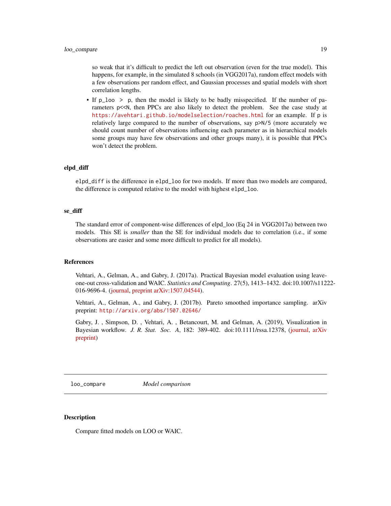<span id="page-18-0"></span>so weak that it's difficult to predict the left out observation (even for the true model). This happens, for example, in the simulated 8 schools (in VGG2017a), random effect models with a few observations per random effect, and Gaussian processes and spatial models with short correlation lengths.

• If p\_loo > p, then the model is likely to be badly misspecified. If the number of parameters  $p \le N$ , then PPCs are also likely to detect the problem. See the case study at <https://avehtari.github.io/modelselection/roaches.html> for an example. If p is relatively large compared to the number of observations, say p>N/5 (more accurately we should count number of observations influencing each parameter as in hierarchical models some groups may have few observations and other groups many), it is possible that PPCs won't detect the problem.

#### elpd\_diff

elpd\_diff is the difference in elpd\_loo for two models. If more than two models are compared, the difference is computed relative to the model with highest elpd\_loo.

#### se\_diff

The standard error of component-wise differences of elpd\_loo (Eq 24 in VGG2017a) between two models. This SE is *smaller* than the SE for individual models due to correlation (i.e., if some observations are easier and some more difficult to predict for all models).

#### References

Vehtari, A., Gelman, A., and Gabry, J. (2017a). Practical Bayesian model evaluation using leaveone-out cross-validation and WAIC. *Statistics and Computing*. 27(5), 1413–1432. doi:10.1007/s11222- 016-9696-4. [\(journal,](http://link.springer.com/article/10.1007%2Fs11222-016-9696-4) [preprint arXiv:1507.04544\)](http://arxiv.org/abs/1507.04544).

Vehtari, A., Gelman, A., and Gabry, J. (2017b). Pareto smoothed importance sampling. arXiv preprint: <http://arxiv.org/abs/1507.02646/>

Gabry, J. , Simpson, D. , Vehtari, A. , Betancourt, M. and Gelman, A. (2019), Visualization in Bayesian workflow. *J. R. Stat. Soc. A*, 182: 389-402. doi:10.1111/rssa.12378, [\(journal,](https://rss.onlinelibrary.wiley.com/doi/full/10.1111/rssa.12378) [arXiv](https://arxiv.org/abs/1709.01449) [preprint\)](https://arxiv.org/abs/1709.01449)

<span id="page-18-1"></span>loo\_compare *Model comparison*

#### Description

Compare fitted models on LOO or WAIC.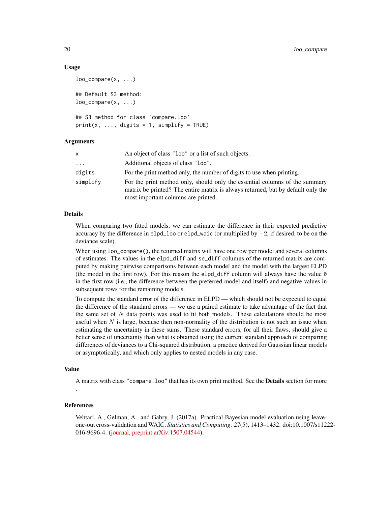#### Usage

```
loo\_compare(x, \ldots)## Default S3 method:
loo\_compare(x, ...)## S3 method for class 'compare.loo'
print(x, ..., digits = 1, simplify = TRUE)
```
#### Arguments

| x        | An object of class "loo" or a list of such objects.                                                                                                                                                    |
|----------|--------------------------------------------------------------------------------------------------------------------------------------------------------------------------------------------------------|
| $\cdots$ | Additional objects of class "loo".                                                                                                                                                                     |
| digits   | For the print method only, the number of digits to use when printing.                                                                                                                                  |
| simplify | For the print method only, should only the essential columns of the summary<br>matrix be printed? The entire matrix is always returned, but by default only the<br>most important columns are printed. |

#### Details

When comparing two fitted models, we can estimate the difference in their expected predictive accuracy by the difference in elpd\_loo or elpd\_waic (or multiplied by −2, if desired, to be on the deviance scale).

When using  $loo_{\text{compare}}($ , the returned matrix will have one row per model and several columns of estimates. The values in the elpd\_diff and se\_diff columns of the returned matrix are computed by making pairwise comparisons between each model and the model with the largest ELPD (the model in the first row). For this reason the elpd\_diff column will always have the value  $\theta$ in the first row (i.e., the difference between the preferred model and itself) and negative values in subsequent rows for the remaining models.

To compute the standard error of the difference in ELPD — which should not be expected to equal the difference of the standard errors — we use a paired estimate to take advantage of the fact that the same set of  $N$  data points was used to fit both models. These calculations should be most useful when  $N$  is large, because then non-normality of the distribution is not such an issue when estimating the uncertainty in these sums. These standard errors, for all their flaws, should give a better sense of uncertainty than what is obtained using the current standard approach of comparing differences of deviances to a Chi-squared distribution, a practice derived for Gaussian linear models or asymptotically, and which only applies to nested models in any case.

#### Value

A matrix with class "compare. loo" that has its own print method. See the **Details** section for more

#### References

.

Vehtari, A., Gelman, A., and Gabry, J. (2017a). Practical Bayesian model evaluation using leaveone-out cross-validation and WAIC. *Statistics and Computing*. 27(5), 1413–1432. doi:10.1007/s11222- 016-9696-4. [\(journal,](http://link.springer.com/article/10.1007%2Fs11222-016-9696-4) [preprint arXiv:1507.04544\)](http://arxiv.org/abs/1507.04544).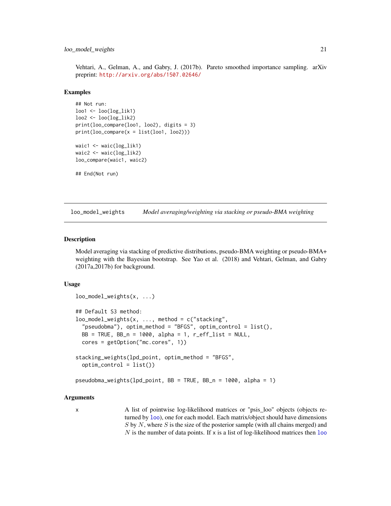#### <span id="page-20-0"></span>loo\_model\_weights 21

Vehtari, A., Gelman, A., and Gabry, J. (2017b). Pareto smoothed importance sampling. arXiv preprint: <http://arxiv.org/abs/1507.02646/>

#### Examples

```
## Not run:
loo1 \leftarrow loo(log\_lik1)loo2 \leftarrow loo(log\_lik2)print(loo_compare(loo1, loo2), digits = 3)
print(loo\_compare(x = list(loo1, loo2)))waic1 <- waic(log_lik1)
waic2 <- waic(log_lik2)
loo_compare(waic1, waic2)
## End(Not run)
```
<span id="page-20-1"></span>loo\_model\_weights *Model averaging/weighting via stacking or pseudo-BMA weighting*

#### Description

Model averaging via stacking of predictive distributions, pseudo-BMA weighting or pseudo-BMA+ weighting with the Bayesian bootstrap. See Yao et al. (2018) and Vehtari, Gelman, and Gabry (2017a,2017b) for background.

#### Usage

```
loo_model_weights(x, ...)
## Default S3 method:
loo\_model\_weights(x, ..., method = c("stacking","pseudobma"), optim_method = "BFGS", optim_control = list(),
 BB = TRUE, BB_n = 1000, alpha = 1, r_eff_list = NULL,
  cores = getOption("mc.cores", 1))
stacking_weights(lpd_point, optim_method = "BFGS",
  optim_control = list())
pseudobma_weights(lpd_point, BB = TRUE, BB_n = 1000, alpha = 1)
```
#### Arguments

x A list of pointwise log-likelihood matrices or "psis\_loo" objects (objects returned by [loo](#page-11-1)), one for each model. Each matrix/object should have dimensions  $S$  by  $N$ , where  $S$  is the size of the posterior sample (with all chains merged) and  $N$  is the number of data points. If x is a list of log-likelihood matrices then  $1$ oo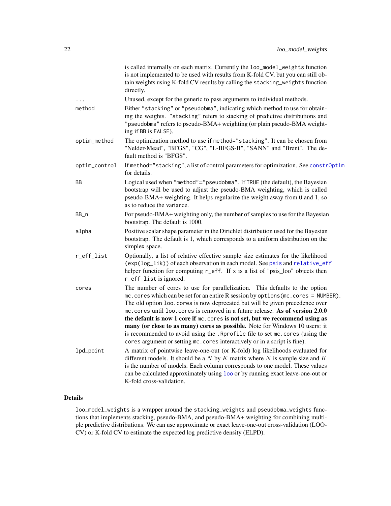<span id="page-21-0"></span>

|               | is called internally on each matrix. Currently the loo_model_weights function<br>is not implemented to be used with results from K-fold CV, but you can still ob-<br>tain weights using K-fold CV results by calling the stacking_weights function<br>directly.                                                                                                                                                                                                                                                                                                                                                                                                   |
|---------------|-------------------------------------------------------------------------------------------------------------------------------------------------------------------------------------------------------------------------------------------------------------------------------------------------------------------------------------------------------------------------------------------------------------------------------------------------------------------------------------------------------------------------------------------------------------------------------------------------------------------------------------------------------------------|
| $\cdots$      | Unused, except for the generic to pass arguments to individual methods.                                                                                                                                                                                                                                                                                                                                                                                                                                                                                                                                                                                           |
| method        | Either "stacking" or "pseudobma", indicating which method to use for obtain-<br>ing the weights. "stacking" refers to stacking of predictive distributions and<br>"pseudobma" refers to pseudo-BMA+ weighting (or plain pseudo-BMA weight-<br>ing if BB is FALSE).                                                                                                                                                                                                                                                                                                                                                                                                |
| optim_method  | The optimization method to use if method="stacking". It can be chosen from<br>"Nelder-Mead", "BFGS", "CG", "L-BFGS-B", "SANN" and "Brent". The de-<br>fault method is "BFGS".                                                                                                                                                                                                                                                                                                                                                                                                                                                                                     |
| optim_control | If method="stacking", a list of control parameters for optimization. See constrOptim<br>for details.                                                                                                                                                                                                                                                                                                                                                                                                                                                                                                                                                              |
| BB            | Logical used when "method"="pseudobma". If TRUE (the default), the Bayesian<br>bootstrap will be used to adjust the pseudo-BMA weighting, which is called<br>pseudo-BMA+ weighting. It helps regularize the weight away from 0 and 1, so<br>as to reduce the variance.                                                                                                                                                                                                                                                                                                                                                                                            |
| BB_n          | For pseudo-BMA+ weighting only, the number of samples to use for the Bayesian<br>bootstrap. The default is 1000.                                                                                                                                                                                                                                                                                                                                                                                                                                                                                                                                                  |
| alpha         | Positive scalar shape parameter in the Dirichlet distribution used for the Bayesian<br>bootstrap. The default is 1, which corresponds to a uniform distribution on the<br>simplex space.                                                                                                                                                                                                                                                                                                                                                                                                                                                                          |
| r_eff_list    | Optionally, a list of relative effective sample size estimates for the likelihood<br>(exp(log_lik)) of each observation in each model. See psis and relative_eff<br>helper function for computing $r$ eff. If x is a list of "psis_loo" objects then<br>r_eff_list is ignored.                                                                                                                                                                                                                                                                                                                                                                                    |
| cores         | The number of cores to use for parallelization. This defaults to the option<br>mc.cores which can be set for an entire R session by options (mc.cores = NUMBER).<br>The old option loo. cores is now deprecated but will be given precedence over<br>mc. cores until loo. cores is removed in a future release. As of version 2.0.0<br>the default is now 1 core if mc. cores is not set, but we recommend using as<br>many (or close to as many) cores as possible. Note for Windows 10 users: it<br>is recommended to avoid using the . Rprofile file to set mc. cores (using the<br>cores argument or setting mc. cores interactively or in a script is fine). |
| lpd_point     | A matrix of pointwise leave-one-out (or K-fold) log likelihoods evaluated for<br>different models. It should be a $N$ by $K$ matrix where $N$ is sample size and $K$<br>is the number of models. Each column corresponds to one model. These values<br>can be calculated approximately using loo or by running exact leave-one-out or<br>K-fold cross-validation.                                                                                                                                                                                                                                                                                                 |

# Details

loo\_model\_weights is a wrapper around the stacking\_weights and pseudobma\_weights functions that implements stacking, pseudo-BMA, and pseudo-BMA+ weighting for combining multiple predictive distributions. We can use approximate or exact leave-one-out cross-validation (LOO-CV) or K-fold CV to estimate the expected log predictive density (ELPD).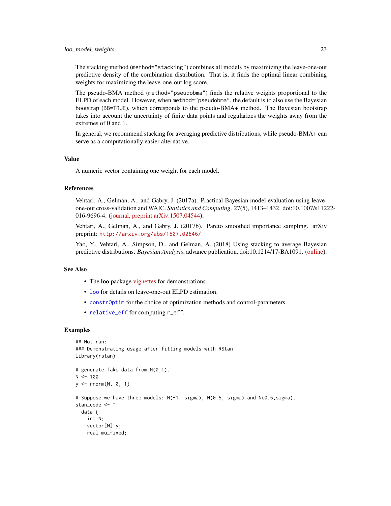<span id="page-22-0"></span>The stacking method (method="stacking") combines all models by maximizing the leave-one-out predictive density of the combination distribution. That is, it finds the optimal linear combining weights for maximizing the leave-one-out log score.

The pseudo-BMA method (method="pseudobma") finds the relative weights proportional to the ELPD of each model. However, when method="pseudobma", the default is to also use the Bayesian bootstrap (BB=TRUE), which corresponds to the pseudo-BMA+ method. The Bayesian bootstrap takes into account the uncertainty of finite data points and regularizes the weights away from the extremes of 0 and 1.

In general, we recommend stacking for averaging predictive distributions, while pseudo-BMA+ can serve as a computationally easier alternative.

#### Value

A numeric vector containing one weight for each model.

#### References

Vehtari, A., Gelman, A., and Gabry, J. (2017a). Practical Bayesian model evaluation using leaveone-out cross-validation and WAIC. *Statistics and Computing*. 27(5), 1413–1432. doi:10.1007/s11222- 016-9696-4. [\(journal,](http://link.springer.com/article/10.1007%2Fs11222-016-9696-4) [preprint arXiv:1507.04544\)](http://arxiv.org/abs/1507.04544).

Vehtari, A., Gelman, A., and Gabry, J. (2017b). Pareto smoothed importance sampling. arXiv preprint: <http://arxiv.org/abs/1507.02646/>

Yao, Y., Vehtari, A., Simpson, D., and Gelman, A. (2018) Using stacking to average Bayesian predictive distributions. *Bayesian Analysis*, advance publication, doi:10.1214/17-BA1091. [\(online\)](https://projecteuclid.org/euclid.ba/1516093227).

#### See Also

- The loo package [vignettes](https://mc-stan.org/loo/articles/index.html) for demonstrations.
- [loo](#page-11-1) for details on leave-one-out ELPD estimation.
- [constrOptim](#page-0-0) for the choice of optimization methods and control-parameters.
- [relative\\_eff](#page-31-1) for computing r\_eff.

#### Examples

```
## Not run:
### Demonstrating usage after fitting models with RStan
library(rstan)
# generate fake data from N(0,1).
N < -100y \le - rnorm(N, 0, 1)
# Suppose we have three models: N(-1, sigma), N(0.5, sigma) and N(0.6,sigma).
stan_code <- "
 data {
   int N;
   vector[N] y;
   real mu_fixed;
```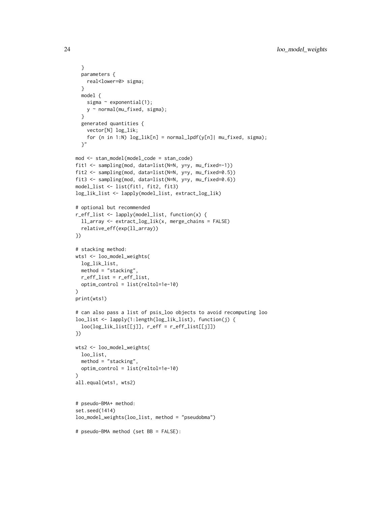```
}
  parameters {
   real<lower=0> sigma;
  }
  model {
   sigma \sim exponential(1);
   y ~ normal(mu_fixed, sigma);
  }
  generated quantities {
   vector[N] log_lik;
    for (n in 1:N) log\_lik[n] = normal\_lpdf(y[n)] mu_fixed, sigma);
  }"
mod <- stan_model(model_code = stan_code)
fit1 <- sampling(mod, data=list(N=N, y=y, mu_fixed=-1))
fit2 <- sampling(mod, data=list(N=N, y=y, mu_fixed=0.5))
fit3 <- sampling(mod, data=list(N=N, y=y, mu_fixed=0.6))
model_list <- list(fit1, fit2, fit3)
log_lik_list <- lapply(model_list, extract_log_lik)
# optional but recommended
r_eff_list <- lapply(model_list, function(x) {
  ll_array <- extract_log_lik(x, merge_chains = FALSE)
  relative_eff(exp(ll_array))
})
# stacking method:
wts1 <- loo_model_weights(
 log_lik_list,
 method = "stacking",
 r_eff_list = r_eff_list,
  optim_control = list(reltol=1e-10)
\lambdaprint(wts1)
# can also pass a list of psis_loo objects to avoid recomputing loo
loo_list <- lapply(1:length(log_lik_list), function(j) {
  loo(log_lik_list[[j]], r_eff = r_eff_list[[j]])
})
wts2 <- loo_model_weights(
  loo_list,
  method = "stacking",
  optim_control = list(reltol=1e-10)
\lambdaall.equal(wts1, wts2)
# pseudo-BMA+ method:
set.seed(1414)
loo_model_weights(loo_list, method = "pseudobma")
# pseudo-BMA method (set BB = FALSE):
```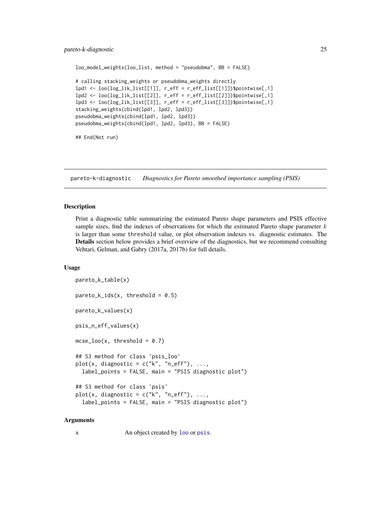#### <span id="page-24-0"></span>pareto-k-diagnostic 25

```
loo_model_weights(loo_list, method = "pseudobma", BB = FALSE)
# calling stacking_weights or pseudobma_weights directly
lpd1 <- loo(log_lik_list[[1]], r_eff = r_eff_list[[1]])$pointwise[,1]
lpd2 <- loo(log_lik_list[[2]], r_eff = r_eff_list[[2]])$pointwise[,1]
lpd3 <- loo(log_lik_list[[3]], r_eff = r_eff_list[[3]])$pointwise[,1]
stacking_weights(cbind(lpd1, lpd2, lpd3))
pseudobma_weights(cbind(lpd1, lpd2, lpd3))
pseudobma_weights(cbind(lpd1, lpd2, lpd3), BB = FALSE)
## End(Not run)
```
<span id="page-24-1"></span>pareto-k-diagnostic *Diagnostics for Pareto smoothed importance sampling (PSIS)*

#### <span id="page-24-2"></span>**Description**

Print a diagnostic table summarizing the estimated Pareto shape parameters and PSIS effective sample sizes, find the indexes of observations for which the estimated Pareto shape parameter  $k$ is larger than some threshold value, or plot observation indexes vs. diagnostic estimates. The Details section below provides a brief overview of the diagnostics, but we recommend consulting Vehtari, Gelman, and Gabry (2017a, 2017b) for full details.

#### Usage

```
pareto_k_table(x)
pareto_k\_ids(x, threshold = 0.5)pareto_k_values(x)
psis_n_eff_values(x)
mcse\_loo(x, threshold = 0.7)## S3 method for class 'psis_loo'
plot(x, diagnostic = c("k", "n_eff"), ...,label_points = FALSE, main = "PSIS diagnostic plot")
## S3 method for class 'psis'
plot(x, diagnostic = c("k", "n_eff"), ...,label_points = FALSE, main = "PSIS diagnostic plot")
```
#### Arguments

x An object created by [loo](#page-11-1) or [psis](#page-27-1).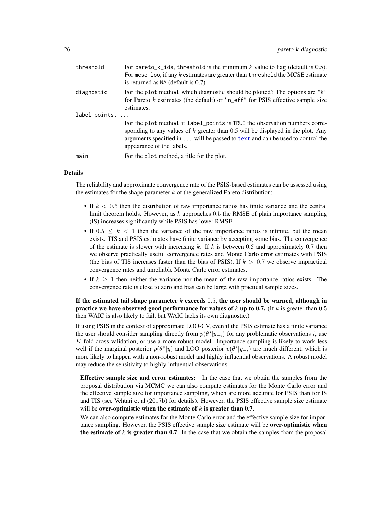<span id="page-25-0"></span>

| threshold         | For pareto_k_ids, threshold is the minimum $k$ value to flag (default is 0.5).<br>For $m$ cse_loo, if any $k$ estimates are greater than threshold the MCSE estimate<br>is returned as $NA$ (default is $0.7$ ).                                                              |
|-------------------|-------------------------------------------------------------------------------------------------------------------------------------------------------------------------------------------------------------------------------------------------------------------------------|
| diagnostic        | For the plot method, which diagnostic should be plotted? The options are "k"<br>for Pareto $k$ estimates (the default) or "n_eff" for PSIS effective sample size<br>estimates.                                                                                                |
| $label\_points, $ |                                                                                                                                                                                                                                                                               |
|                   | For the plot method, if label_points is TRUE the observation numbers corre-<br>sponding to any values of $k$ greater than 0.5 will be displayed in the plot. Any<br>arguments specified in will be passed to text and can be used to control the<br>appearance of the labels. |
| main              | For the plot method, a title for the plot.                                                                                                                                                                                                                                    |

# Details

The reliability and approximate convergence rate of the PSIS-based estimates can be assessed using the estimates for the shape parameter  $k$  of the generalized Pareto distribution:

- If  $k < 0.5$  then the distribution of raw importance ratios has finite variance and the central limit theorem holds. However, as  $k$  approaches 0.5 the RMSE of plain importance sampling (IS) increases significantly while PSIS has lower RMSE.
- If  $0.5 \leq k < 1$  then the variance of the raw importance ratios is infinite, but the mean exists. TIS and PSIS estimates have finite variance by accepting some bias. The convergence of the estimate is slower with increasing k. If k is between 0.5 and approximately 0.7 then we observe practically useful convergence rates and Monte Carlo error estimates with PSIS (the bias of TIS increases faster than the bias of PSIS). If  $k > 0.7$  we observe impractical convergence rates and unreliable Monte Carlo error estimates.
- If  $k \geq 1$  then neither the variance nor the mean of the raw importance ratios exists. The convergence rate is close to zero and bias can be large with practical sample sizes.

# If the estimated tail shape parameter  $k$  exceeds 0.5, the user should be warned, although in practice we have observed good performance for values of k up to 0.7. (If k is greater than  $0.5$ ) then WAIC is also likely to fail, but WAIC lacks its own diagnostic.)

If using PSIS in the context of approximate LOO-CV, even if the PSIS estimate has a finite variance the user should consider sampling directly from  $p(\theta^s | y_{-i})$  for any problematic observations i, use  $K$ -fold cross-validation, or use a more robust model. Importance sampling is likely to work less well if the marginal posterior  $p(\theta^s|y)$  and LOO posterior  $p(\theta^s|y_{-i})$  are much different, which is more likely to happen with a non-robust model and highly influential observations. A robust model may reduce the sensitivity to highly influential observations.

Effective sample size and error estimates: In the case that we obtain the samples from the proposal distribution via MCMC we can also compute estimates for the Monte Carlo error and the effective sample size for importance sampling, which are more accurate for PSIS than for IS and TIS (see Vehtari et al (2017b) for details). However, the PSIS effective sample size estimate will be over-optimistic when the estimate of  $k$  is greater than 0.7.

We can also compute estimates for the Monte Carlo error and the effective sample size for importance sampling. However, the PSIS effective sample size estimate will be over-optimistic when the estimate of  $k$  is greater than 0.7. In the case that we obtain the samples from the proposal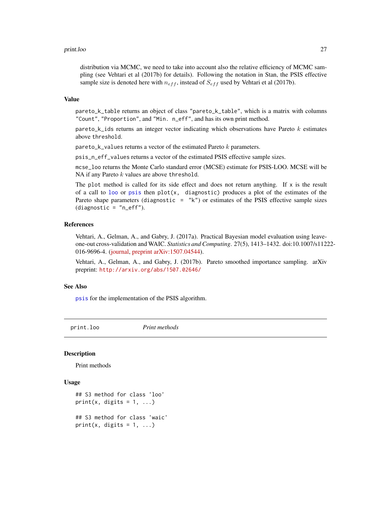#### <span id="page-26-0"></span>print.loo 27

distribution via MCMC, we need to take into account also the relative efficiency of MCMC sampling (see Vehtari et al (2017b) for details). Following the notation in Stan, the PSIS effective sample size is denoted here with  $n_{eff}$ , instead of  $S_{eff}$  used by Vehtari et al (2017b).

#### Value

pareto\_k\_table returns an object of class "pareto\_k\_table", which is a matrix with columns "Count", "Proportion", and "Min. n\_eff", and has its own print method.

pareto\_k\_ids returns an integer vector indicating which observations have Pareto  $k$  estimates above threshold.

pareto\_k\_values returns a vector of the estimated Pareto  $k$  parameters.

psis\_n\_eff\_values returns a vector of the estimated PSIS effective sample sizes.

mcse\_loo returns the Monte Carlo standard error (MCSE) estimate for PSIS-LOO. MCSE will be NA if any Pareto  $k$  values are above threshold.

The plot method is called for its side effect and does not return anything. If  $x$  is the result of a call to [loo](#page-11-1) or [psis](#page-27-1) then  $plot(x, diagnostic)$  produces a plot of the estimates of the Pareto shape parameters (diagnostic =  $"k"$ ) or estimates of the PSIS effective sample sizes  $(diagnostic = "n_eff").$ 

#### References

Vehtari, A., Gelman, A., and Gabry, J. (2017a). Practical Bayesian model evaluation using leaveone-out cross-validation and WAIC. *Statistics and Computing*. 27(5), 1413–1432. doi:10.1007/s11222- 016-9696-4. [\(journal,](http://link.springer.com/article/10.1007%2Fs11222-016-9696-4) [preprint arXiv:1507.04544\)](http://arxiv.org/abs/1507.04544).

Vehtari, A., Gelman, A., and Gabry, J. (2017b). Pareto smoothed importance sampling. arXiv preprint: <http://arxiv.org/abs/1507.02646/>

#### See Also

[psis](#page-27-1) for the implementation of the PSIS algorithm.

print.loo *Print methods*

#### Description

Print methods

### Usage

```
## S3 method for class 'loo'
print(x, digits = 1, ...)
## S3 method for class 'waic'
print(x, digits = 1, ...)
```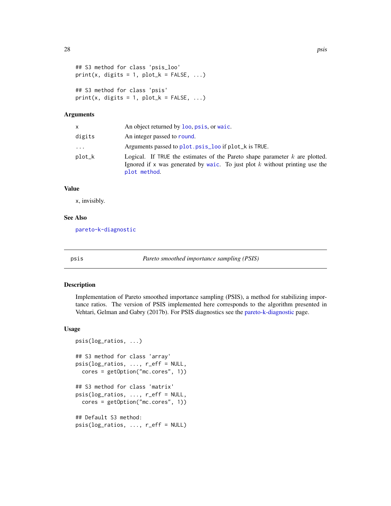```
## S3 method for class 'psis_loo'
print(x, digits = 1, plot_k = FALSE, \ldots)
## S3 method for class 'psis'
print(x, digits = 1, plot_k = FALSE, ...)
```
#### **Arguments**

| x      | An object returned by loo, psis, or waic.                                                                                                                                      |
|--------|--------------------------------------------------------------------------------------------------------------------------------------------------------------------------------|
| digits | An integer passed to round.                                                                                                                                                    |
| .      | Arguments passed to plot.psis_loo if plot_k is TRUE.                                                                                                                           |
| plot_k | Logical. If TRUE the estimates of the Pareto shape parameter $k$ are plotted.<br>Ignored if x was generated by waic. To just plot $k$ without printing use the<br>plot method. |

#### Value

x, invisibly.

#### See Also

[pareto-k-diagnostic](#page-24-1)

<span id="page-27-1"></span>

psis *Pareto smoothed importance sampling (PSIS)*

#### Description

Implementation of Pareto smoothed importance sampling (PSIS), a method for stabilizing importance ratios. The version of PSIS implemented here corresponds to the algorithm presented in Vehtari, Gelman and Gabry (2017b). For PSIS diagnostics see the [pareto-k-diagnostic](#page-24-1) page.

#### Usage

```
psis(log_ratios, ...)
## S3 method for class 'array'
psis(log_ratios, ..., r_eff = NULL,
 cores = getOption("mc.cores", 1))
## S3 method for class 'matrix'
psis(log_ratios, ..., r_eff = NULL,
 cores = getOption("mc.cores", 1))
## Default S3 method:
psis(log_ratios, ..., r_eff = NULL)
```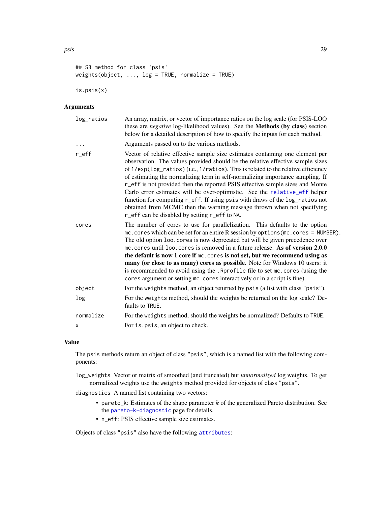```
## S3 method for class 'psis'
weights(object, ..., log = TRUE, normalize = TRUE)
is.psis(x)
```
# Arguments

| log_ratios | An array, matrix, or vector of importance ratios on the log scale (for PSIS-LOO<br>these are <i>negative</i> log-likelihood values). See the <b>Methods</b> (by class) section<br>below for a detailed description of how to specify the inputs for each method.                                                                                                                                                                                                                                                                                                                                                                                                                                                 |
|------------|------------------------------------------------------------------------------------------------------------------------------------------------------------------------------------------------------------------------------------------------------------------------------------------------------------------------------------------------------------------------------------------------------------------------------------------------------------------------------------------------------------------------------------------------------------------------------------------------------------------------------------------------------------------------------------------------------------------|
| $\cdots$   | Arguments passed on to the various methods.                                                                                                                                                                                                                                                                                                                                                                                                                                                                                                                                                                                                                                                                      |
| $r$ $eff$  | Vector of relative effective sample size estimates containing one element per<br>observation. The values provided should be the relative effective sample sizes<br>of 1/exp(log_ratios) (i.e., 1/ratios). This is related to the relative efficiency<br>of estimating the normalizing term in self-normalizing importance sampling. If<br>r_eff is not provided then the reported PSIS effective sample sizes and Monte<br>Carlo error estimates will be over-optimistic. See the relative_eff helper<br>function for computing r_eff. If using psis with draws of the log_ratios not<br>obtained from MCMC then the warning message thrown when not specifying<br>r_eff can be disabled by setting r_eff to NA. |
| cores      | The number of cores to use for parallelization. This defaults to the option<br>mc.cores which can be set for an entire R session by options (mc.cores = NUMBER).<br>The old option loo. cores is now deprecated but will be given precedence over<br>mc. cores until loo. cores is removed in a future release. As of version 2.0.0<br>the default is now 1 core if mc. cores is not set, but we recommend using as<br>many (or close to as many) cores as possible. Note for Windows 10 users: it<br>is recommended to avoid using the . Rprofile file to set mc. cores (using the<br>cores argument or setting mc. cores interactively or in a script is fine).                                                |
| object     | For the weights method, an object returned by psis (a list with class "psis").                                                                                                                                                                                                                                                                                                                                                                                                                                                                                                                                                                                                                                   |
| log        | For the weights method, should the weights be returned on the log scale? De-<br>faults to TRUE.                                                                                                                                                                                                                                                                                                                                                                                                                                                                                                                                                                                                                  |
| normalize  | For the weights method, should the weights be normalized? Defaults to TRUE.                                                                                                                                                                                                                                                                                                                                                                                                                                                                                                                                                                                                                                      |
| x          | For is psis, an object to check.                                                                                                                                                                                                                                                                                                                                                                                                                                                                                                                                                                                                                                                                                 |

### Value

The psis methods return an object of class "psis", which is a named list with the following components:

log\_weights Vector or matrix of smoothed (and truncated) but *unnormalized* log weights. To get normalized weights use the weights method provided for objects of class "psis".

diagnostics A named list containing two vectors:

- pareto\_k: Estimates of the shape parameter  $k$  of the generalized Pareto distribution. See the [pareto-k-diagnostic](#page-24-1) page for details.
- n\_eff: PSIS effective sample size estimates.

Objects of class "psis" also have the following [attributes](#page-0-0):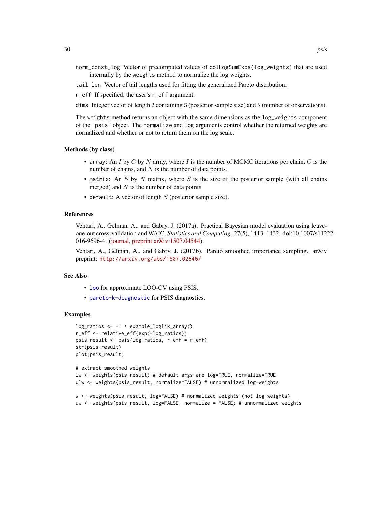- <span id="page-29-0"></span>norm\_const\_log Vector of precomputed values of colLogSumExps(log\_weights) that are used internally by the weights method to normalize the log weights.
- tail\_len Vector of tail lengths used for fitting the generalized Pareto distribution.

r\_eff If specified, the user's r\_eff argument.

dims Integer vector of length 2 containing S (posterior sample size) and N (number of observations).

The weights method returns an object with the same dimensions as the log\_weights component of the "psis" object. The normalize and log arguments control whether the returned weights are normalized and whether or not to return them on the log scale.

#### Methods (by class)

- array: An I by C by N array, where I is the number of MCMC iterations per chain, C is the number of chains, and  $N$  is the number of data points.
- matrix: An  $S$  by  $N$  matrix, where  $S$  is the size of the posterior sample (with all chains merged) and  $N$  is the number of data points.
- default: A vector of length  $S$  (posterior sample size).

#### References

Vehtari, A., Gelman, A., and Gabry, J. (2017a). Practical Bayesian model evaluation using leaveone-out cross-validation and WAIC. *Statistics and Computing*. 27(5), 1413–1432. doi:10.1007/s11222- 016-9696-4. [\(journal,](http://link.springer.com/article/10.1007%2Fs11222-016-9696-4) [preprint arXiv:1507.04544\)](http://arxiv.org/abs/1507.04544).

Vehtari, A., Gelman, A., and Gabry, J. (2017b). Pareto smoothed importance sampling. arXiv preprint: <http://arxiv.org/abs/1507.02646/>

#### See Also

- [loo](#page-11-1) for approximate LOO-CV using PSIS.
- [pareto-k-diagnostic](#page-24-1) for PSIS diagnostics.

#### Examples

```
log_ratios <- -1 * example_loglik_array()
r_eff <- relative_eff(exp(-log_ratios))
psis_result <- psis(log_ratios, r_eff = r_eff)
str(psis_result)
plot(psis_result)
```

```
# extract smoothed weights
lw <- weights(psis_result) # default args are log=TRUE, normalize=TRUE
ulw <- weights(psis_result, normalize=FALSE) # unnormalized log-weights
```

```
w <- weights(psis_result, log=FALSE) # normalized weights (not log-weights)
uw <- weights(psis_result, log=FALSE, normalize = FALSE) # unnormalized weights
```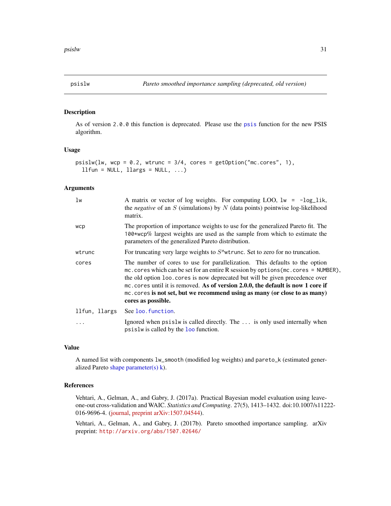<span id="page-30-0"></span>

# Description

As of version 2.0.0 this function is deprecated. Please use the [psis](#page-27-1) function for the new PSIS algorithm.

# Usage

```
psi(1w, wcp = 0.2, wtrunc = 3/4, cores = getOption("mc.cores", 1),llfun = NULL, llargs = NULL, ...)
```
### Arguments

| lw            | A matrix or vector of log weights. For computing LOO, $lw = -log\_lik$ ,<br>the <i>negative</i> of an $S$ (simulations) by $N$ (data points) pointwise log-likelihood<br>matrix.                                                                                                                                                                                                                                                            |
|---------------|---------------------------------------------------------------------------------------------------------------------------------------------------------------------------------------------------------------------------------------------------------------------------------------------------------------------------------------------------------------------------------------------------------------------------------------------|
| wcp           | The proportion of importance weights to use for the generalized Pareto fit. The<br>100*wcp% largest weights are used as the sample from which to estimate the<br>parameters of the generalized Pareto distribution.                                                                                                                                                                                                                         |
| wtrunc        | For truncating very large weights to $S^{\wedge}$ wtrunc. Set to zero for no truncation.                                                                                                                                                                                                                                                                                                                                                    |
| cores         | The number of cores to use for parallelization. This defaults to the option<br>mc. cores which can be set for an entire R session by options (mc. cores = NUMBER),<br>the old option loo. cores is now deprecated but will be given precedence over<br>mc. cores until it is removed. As of version 2.0.0, the default is now 1 core if<br>mc. cores is not set, but we recommend using as many (or close to as many)<br>cores as possible. |
| llfun, llargs | See loo. function.                                                                                                                                                                                                                                                                                                                                                                                                                          |
| $\ddots$      | Ignored when psislw is called directly. The  is only used internally when<br>psislw is called by the loo function.                                                                                                                                                                                                                                                                                                                          |

#### Value

A named list with components lw\_smooth (modified log weights) and pareto\_k (estimated generalized Pareto [shape parameter\(s\) k\)](#page-24-1).

#### References

Vehtari, A., Gelman, A., and Gabry, J. (2017a). Practical Bayesian model evaluation using leaveone-out cross-validation and WAIC. *Statistics and Computing*. 27(5), 1413–1432. doi:10.1007/s11222- 016-9696-4. [\(journal,](http://link.springer.com/article/10.1007%2Fs11222-016-9696-4) [preprint arXiv:1507.04544\)](http://arxiv.org/abs/1507.04544).

Vehtari, A., Gelman, A., and Gabry, J. (2017b). Pareto smoothed importance sampling. arXiv preprint: <http://arxiv.org/abs/1507.02646/>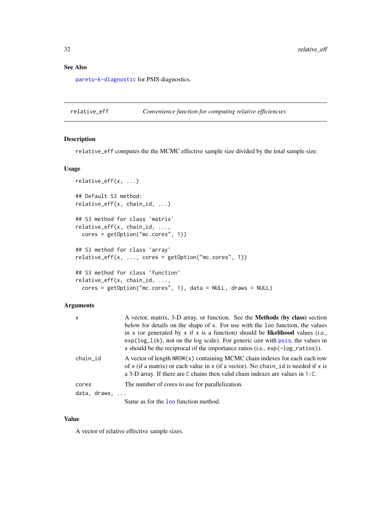# <span id="page-31-0"></span>See Also

[pareto-k-diagnostic](#page-24-1) for PSIS diagnostics.

<span id="page-31-1"></span>relative\_eff *Convenience function for computing relative efficiencies*

# Description

relative\_eff computes the the MCMC effective sample size divided by the total sample size.

# Usage

```
relative_eff(x, ...)
## Default S3 method:
relative_eff(x, chain_id, ...)
## S3 method for class 'matrix'
relative_eff(x, chain_id, ...,
 cores = getOption("mc.cores", 1))
## S3 method for class 'array'
relative\_eff(x, ..., cores = getOption("mc.cores", 1))## S3 method for class 'function'
relative_eff(x, chain_id, ...,
 cores = getOption("mc.cores", 1), data = NULL, draws = NULL)
```
# Arguments

| A vector, matrix, 3-D array, or function. See the <b>Methods</b> (by class) section<br>below for details on the shape of x. For use with the loo function, the values<br>in x (or generated by x if x is a function) should be likelihood values (i.e.,<br>$\exp(\log_1 i k)$ , not on the log scale). For generic use with psis, the values in<br>x should be the reciprocal of the importance ratios (i.e., $exp(-log\_rations)$ ). |
|---------------------------------------------------------------------------------------------------------------------------------------------------------------------------------------------------------------------------------------------------------------------------------------------------------------------------------------------------------------------------------------------------------------------------------------|
| A vector of length NROW(x) containing MCMC chain indexes for each each row<br>of x (if a matrix) or each value in x (if a vector). No chain id is needed if x is<br>a 3-D array. If there are C chains then valid chain indexes are values in $1:$ C.                                                                                                                                                                                 |
| The number of cores to use for parallelization.                                                                                                                                                                                                                                                                                                                                                                                       |
| data, draws,<br>Same as for the <b>loo</b> function method.                                                                                                                                                                                                                                                                                                                                                                           |
|                                                                                                                                                                                                                                                                                                                                                                                                                                       |

#### Value

A vector of relative effective sample sizes.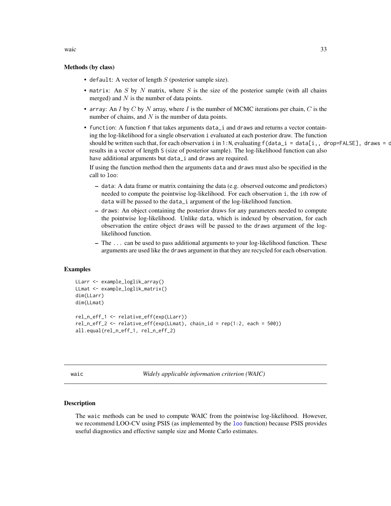# <span id="page-32-0"></span>Methods (by class)

- default: A vector of length  $S$  (posterior sample size).
- matrix: An  $S$  by  $N$  matrix, where  $S$  is the size of the posterior sample (with all chains merged) and  $N$  is the number of data points.
- array: An I by C by N array, where I is the number of MCMC iterations per chain, C is the number of chains, and  $N$  is the number of data points.
- function: A function f that takes arguments data\_i and draws and returns a vector containing the log-likelihood for a single observation i evaluated at each posterior draw. The function should be written such that, for each observation i in 1:N, evaluating  $f(data_i = data[i, drope] = \text{ALSE}]$ , draws = draws) results in a vector of length S (size of posterior sample). The log-likelihood function can also have additional arguments but data\_i and draws are required.

If using the function method then the arguments data and draws must also be specified in the call to loo:

- data: A data frame or matrix containing the data (e.g. observed outcome and predictors) needed to compute the pointwise log-likelihood. For each observation i, the ith row of data will be passed to the data\_i argument of the log-likelihood function.
- draws: An object containing the posterior draws for any parameters needed to compute the pointwise log-likelihood. Unlike data, which is indexed by observation, for each observation the entire object draws will be passed to the draws argument of the loglikelihood function.
- The ... can be used to pass additional arguments to your log-likelihood function. These arguments are used like the draws argument in that they are recycled for each observation.

#### Examples

```
LLarr <- example_loglik_array()
LLmat <- example_loglik_matrix()
dim(LLarr)
dim(LLmat)
rel_n_eff_1 <- relative_eff(exp(LLarr))
rel_n_eff_2 <- relative_eff(exp(LLmat), chain_id = rep(1:2, each = 500))
all.equal(rel_n_eff_1, rel_n_eff_2)
```
<span id="page-32-1"></span>

waic *Widely applicable information criterion (WAIC)*

#### Description

The waic methods can be used to compute WAIC from the pointwise log-likelihood. However, we recommend LOO-CV using PSIS (as implemented by the [loo](#page-11-1) function) because PSIS provides useful diagnostics and effective sample size and Monte Carlo estimates.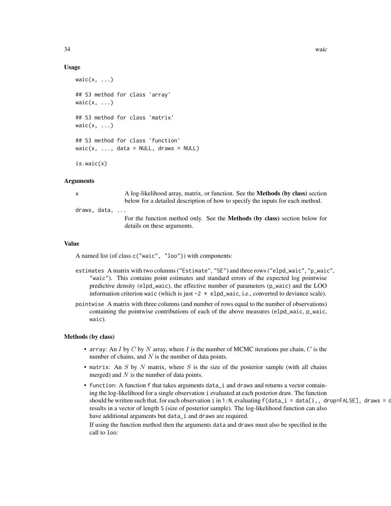#### Usage

```
wait(x, \ldots)## S3 method for class 'array'
waic(x, \ldots)## S3 method for class 'matrix'
wait(x, \ldots)## S3 method for class 'function'
waic(x, ..., data = NULL, draws = NULL)is.waic(x)
```
#### Arguments

x A log-likelihood array, matrix, or function. See the **Methods (by class)** section below for a detailed description of how to specify the inputs for each method.

draws, data, ...

For the function method only. See the Methods (by class) section below for details on these arguments.

#### Value

A named list (of class c("waic", "loo")) with components:

- estimates A matrix with two columns ("Estimate", "SE") and three rows ("elpd\_waic", "p\_waic", "waic"). This contains point estimates and standard errors of the expected log pointwise predictive density (elpd\_waic), the effective number of parameters (p\_waic) and the LOO information criterion waic (which is just  $-2 \times$  elpd\_waic, i.e., converted to deviance scale).
- pointwise A matrix with three columns (and number of rows equal to the number of observations) containing the pointwise contributions of each of the above measures (elpd\_waic, p\_waic, waic).

#### Methods (by class)

- array: An I by C by N array, where I is the number of MCMC iterations per chain, C is the number of chains, and  $N$  is the number of data points.
- matrix: An  $S$  by  $N$  matrix, where  $S$  is the size of the posterior sample (with all chains merged) and  $N$  is the number of data points.
- function: A function f that takes arguments data\_i and draws and returns a vector containing the log-likelihood for a single observation i evaluated at each posterior draw. The function should be written such that, for each observation i in 1:N, evaluating  $f(data_i = data[i, , dropeFALEE]$ , draws = draws) results in a vector of length S (size of posterior sample). The log-likelihood function can also have additional arguments but data\_i and draws are required.

If using the function method then the arguments data and draws must also be specified in the call to loo: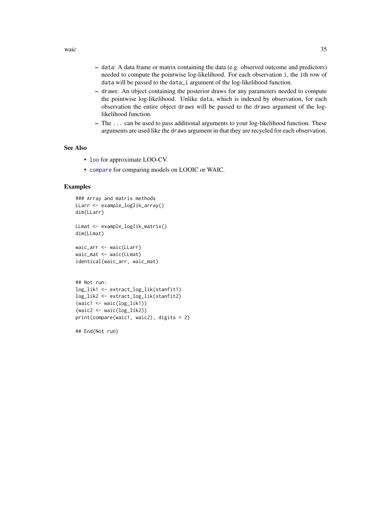- <span id="page-34-0"></span>– data: A data frame or matrix containing the data (e.g. observed outcome and predictors) needed to compute the pointwise log-likelihood. For each observation i, the ith row of data will be passed to the data\_i argument of the log-likelihood function.
- draws: An object containing the posterior draws for any parameters needed to compute the pointwise log-likelihood. Unlike data, which is indexed by observation, for each observation the entire object draws will be passed to the draws argument of the loglikelihood function.
- The ... can be used to pass additional arguments to your log-likelihood function. These arguments are used like the draws argument in that they are recycled for each observation.

# See Also

- [loo](#page-11-1) for approximate LOO-CV.
- [compare](#page-3-1) for comparing models on LOOIC or WAIC.

#### Examples

```
### Array and matrix methods
LLarr <- example_loglik_array()
dim(LLarr)
LLmat <- example_loglik_matrix()
dim(LLmat)
waic_arr <- waic(LLarr)
waic_mat <- waic(LLmat)
identical(waic_arr, waic_mat)
## Not run:
log_lik1 <- extract_log_lik(stanfit1)
log_lik2 <- extract_log_lik(stanfit2)
(waic1 <- waic(log_lik1))
(waic2 <- waic(log_lik2))
```
print(compare(waic1, waic2), digits = 2)

## End(Not run)